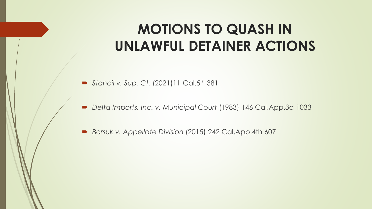# **MOTIONS TO QUASH IN UNLAWFUL DETAINER ACTIONS**

- **Stancil v. Sup. Ct. (2021)11 Cal.5th 381**
- *Delta Imports, Inc. v. Municipal Court* (1983) 146 Cal.App.3d 1033
- *Borsuk v. Appellate Division* (2015) 242 Cal.App.4th 607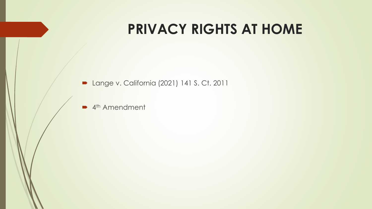## **PRIVACY RIGHTS AT HOME**

■ Lange v. California (2021) 141 S. Ct. 2011

■ 4<sup>th</sup> Amendment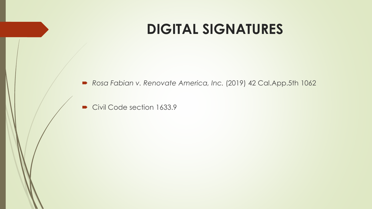## **DIGITAL SIGNATURES**

*Rosa Fabian v. Renovate America, Inc.* (2019) 42 Cal.App.5th 1062

Civil Code section 1633.9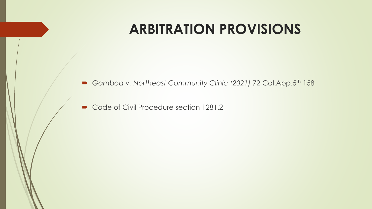## **ARBITRATION PROVISIONS**

■ Gamboa v. Northeast Community Clinic (2021) 72 Cal.App.5<sup>th</sup> 158

Code of Civil Procedure section 1281.2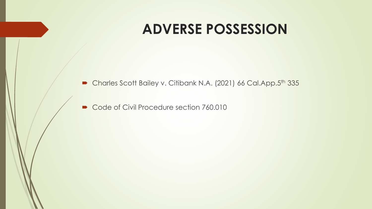#### **ADVERSE POSSESSION**

■ Charles Scott Bailey v. Citibank N.A. (2021) 66 Cal.App.5<sup>th</sup> 335

Code of Civil Procedure section 760.010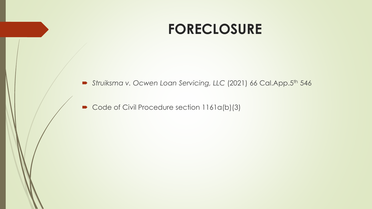#### **FORECLOSURE**

*Struiksma v. Ocwen Loan Servicing, LLC* (2021) 66 Cal.App.5th 546

Code of Civil Procedure section 1161a(b)(3)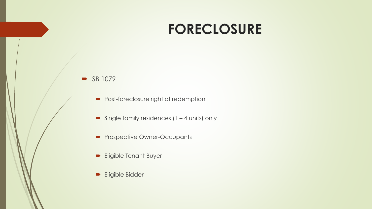## **FORECLOSURE**

#### $\blacktriangleright$  SB 1079

- Post-foreclosure right of redemption
- Single family residences  $(1 4 \text{ units})$  only
- Prospective Owner-Occupants
- **Eligible Tenant Buyer**
- **Eligible Bidder**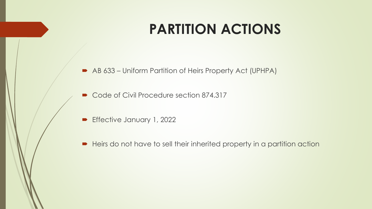# **PARTITION ACTIONS**

- AB 633 Uniform Partition of Heirs Property Act (UPHPA)
- Code of Civil Procedure section 874.317
- **Effective January 1, 2022**
- Heirs do not have to sell their inherited property in a partition action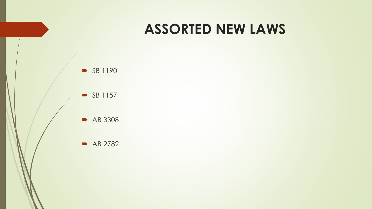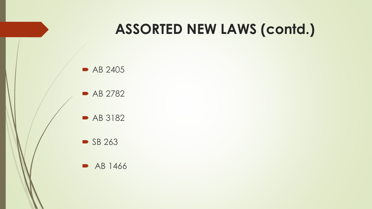# **ASSORTED NEW LAWS (contd.)**



AB 2782

AB 3182

 $\blacktriangleright$  SB 263

• AB 1466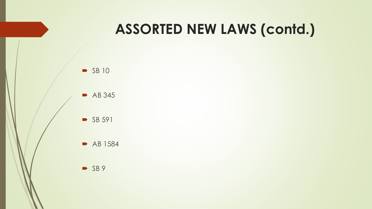# **ASSORTED NEW LAWS (contd.)**